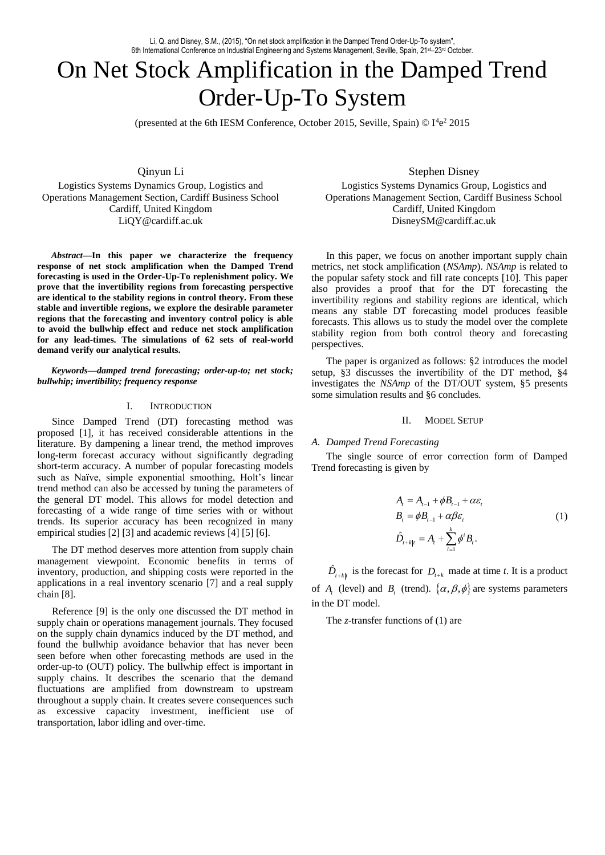# On Net Stock Amplification in the Damped Trend Order-Up-To System

(presented at the 6th IESM Conference, October 2015, Seville, Spain)  $\odot$  I<sup>4</sup>e<sup>2</sup> 2015

Qinyun Li Logistics Systems Dynamics Group, Logistics and Operations Management Section, Cardiff Business School Cardiff, United Kingdom LiQY@cardiff.ac.uk

*Abstract***—In this paper we characterize the frequency response of net stock amplification when the Damped Trend forecasting is used in the Order-Up-To replenishment policy. We prove that the invertibility regions from forecasting perspective are identical to the stability regions in control theory. From these stable and invertible regions, we explore the desirable parameter regions that the forecasting and inventory control policy is able to avoid the bullwhip effect and reduce net stock amplification for any lead-times. The simulations of 62 sets of real-world demand verify our analytical results.** 

*Keywords—damped trend forecasting; order-up-to; net stock; bullwhip; invertibility; frequency response*

# I. INTRODUCTION

Since Damped Trend (DT) forecasting method was proposed [1], it has received considerable attentions in the literature. By dampening a linear trend, the method improves long-term forecast accuracy without significantly degrading short-term accuracy. A number of popular forecasting models such as Naïve, simple exponential smoothing, Holt's linear trend method can also be accessed by tuning the parameters of the general DT model. This allows for model detection and forecasting of a wide range of time series with or without trends. Its superior accuracy has been recognized in many empirical studies [2] [3] and academic reviews [4] [5] [6].

The DT method deserves more attention from supply chain management viewpoint. Economic benefits in terms of inventory, production, and shipping costs were reported in the applications in a real inventory scenario [7] and a real supply chain [8].

Reference [9] is the only one discussed the DT method in supply chain or operations management journals. They focused on the supply chain dynamics induced by the DT method, and found the bullwhip avoidance behavior that has never been seen before when other forecasting methods are used in the order-up-to (OUT) policy. The bullwhip effect is important in supply chains. It describes the scenario that the demand fluctuations are amplified from downstream to upstream throughout a supply chain. It creates severe consequences such as excessive capacity investment, inefficient use of transportation, labor idling and over-time.

Stephen Disney

Logistics Systems Dynamics Group, Logistics and Operations Management Section, Cardiff Business School Cardiff, United Kingdom DisneySM@cardiff.ac.uk

In this paper, we focus on another important supply chain metrics, net stock amplification (*NSAmp*). *NSAmp* is related to the popular safety stock and fill rate concepts [10]. This paper also provides a proof that for the DT forecasting the invertibility regions and stability regions are identical, which means any stable DT forecasting model produces feasible forecasts. This allows us to study the model over the complete stability region from both control theory and forecasting perspectives.

The paper is organized as follows: §2 introduces the model setup, §3 discusses the invertibility of the DT method, §4 investigates the *NSAmp* of the DT/OUT system, §5 presents some simulation results and §6 concludes.

## II. MODEL SETUP

## *A. Damped Trend Forecasting*

The single source of error correction form of Damped Trend forecasting is given by

$$
A_{i} = A_{i-1} + \phi B_{i-1} + \alpha \varepsilon_{i}
$$
  
\n
$$
B_{i} = \phi B_{i-1} + \alpha \beta \varepsilon_{i}
$$
  
\n
$$
\hat{D}_{i+k|i} = A_{i} + \sum_{i=1}^{k} \phi^{i} B_{i}.
$$
  
\n(1)

 $\hat{D}_{t+k|t}$  is the forecast for  $D_{t+k}$  made at time *t*. It is a product of  $A_t$  (level) and  $B_t$  (trend).  $\{\alpha, \beta, \phi\}$  are systems parameters in the DT model.

The *z*-transfer functions of (1) are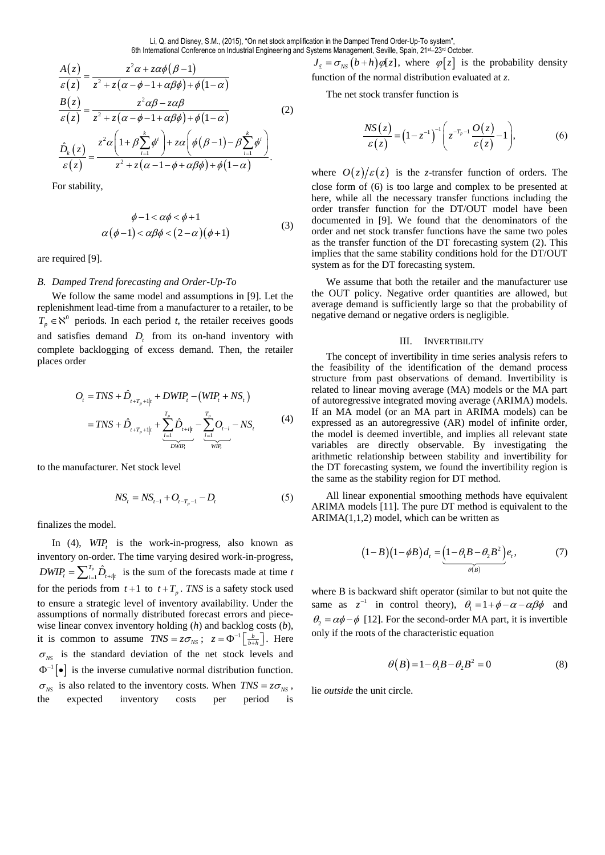6th International Conference on Industrial Engineering a  
\n
$$
\frac{A(z)}{\varepsilon(z)} = \frac{z^2 \alpha + z\alpha\phi(\beta - 1)}{z^2 + z(\alpha - \phi - 1 + \alpha\beta\phi) + \phi(1 - \alpha)}
$$
\n
$$
\frac{B(z)}{\varepsilon(z)} = \frac{z^2 \alpha\beta - z\alpha\beta}{z^2 + z(\alpha - \phi - 1 + \alpha\beta\phi) + \phi(1 - \alpha)}
$$
\n
$$
\frac{\hat{D}_k(z)}{\varepsilon(z)} = \frac{z^2 \alpha \left(1 + \beta \sum_{i=1}^k \phi^i\right) + z\alpha \left(\phi(\beta - 1) - \beta \sum_{i=1}^k \phi^i\right)}{z^2 + z(\alpha - 1 - \phi + \alpha\beta\phi) + \phi(1 - \alpha)}.
$$
\n(2)

For stability,

$$
\phi - 1 < \alpha\phi < \phi + 1
$$
\n
$$
\alpha(\phi - 1) < \alpha\beta\phi < (2 - \alpha)(\phi + 1) \tag{3}
$$

are required [9].

## *B. Damped Trend forecasting and Order-Up-To*

We follow the same model and assumptions in [9]. Let the replenishment lead-time from a manufacturer to a retailer, to be  $T_p \in \aleph^0$  periods. In each period *t*, the retailer receives goods and satisfies demand  $D<sub>t</sub>$  from its on-hand inventory with complete backlogging of excess demand. Then, the retailer places order

$$
O_{t} = TNS + \hat{D}_{t+T_{p}+1|t} + DWIP_{t} - (WIP_{t} + NS_{t})
$$
  
=  $TNS + \hat{D}_{t+T_{p}+1|t} + \sum_{\substack{i=1 \ i \text{odd} \ j \text{odd}}}^{T_{p}} \hat{D}_{t+i|t} - \sum_{\substack{i=1 \ i \text{odd} \ j \text{odd} \ j \text{odd}}}^{T_{p}} O_{t-i} - NS_{t}$  (4)

to the manufacturer. Net stock level

$$
NS_{t} = NS_{t-1} + O_{t-T_{p}-1} - D_{t}
$$
 (5)

finalizes the model.

In (4), *WIP<sup>t</sup>* is the work-in-progress, also known as inventory on-order. The time varying desired work-in-progress,  $T_p \hat{L}$  $DWIP_t = \sum_{i=1}^{T_p} \hat{D}_{t+i|t}$  is the sum of the forecasts made at time *t* for the periods from  $t+1$  to  $t+T_p$ . *TNS* is a safety stock used to ensure a strategic level of inventory availability. Under the assumptions of normally distributed forecast errors and piecewise linear convex inventory holding (*h*) and backlog costs (*b*), it is common to assume  $TNS = z\sigma_{NS}$ ;  $z = \Phi^{-1} \left[ \frac{b}{b+h} \right]$ . Here  $\sigma_{NS}$  is the standard deviation of the net stock levels and  $\Phi^{-1}[\bullet]$  is the inverse cumulative normal distribution function.  $\sigma_{NS}$  is also related to the inventory costs. When  $TNS = z\sigma_{NS}$ , the expected inventory costs per period is

6th International Conference on Industrial Engineering and Systems Management, Seville, Spain, 21st–23rd October.<br>  $J_z = \sigma_{NS} (b+h) \varphi[z]$ , where  $\varphi[z]$  is<br>
function of the normal distribution avaly  $J_{\varepsilon} = \sigma_{NS} (b+h) \varphi[z]$ , where  $\varphi[z]$  is the probability density function of the normal distribution evaluated at *z*.

The net stock transfer function is

$$
\frac{NS(z)}{\varepsilon(z)} = (1 - z^{-1})^{-1} \left( z^{-T_p - 1} \frac{O(z)}{\varepsilon(z)} - 1 \right),\tag{6}
$$

where  $O(z)/\varepsilon(z)$  is the *z*-transfer function of orders. The close form of (6) is too large and complex to be presented at here, while all the necessary transfer functions including the order transfer function for the DT/OUT model have been documented in [9]. We found that the denominators of the order and net stock transfer functions have the same two poles as the transfer function of the DT forecasting system (2). This implies that the same stability conditions hold for the DT/OUT system as for the DT forecasting system.

We assume that both the retailer and the manufacturer use the OUT policy. Negative order quantities are allowed, but average demand is sufficiently large so that the probability of negative demand or negative orders is negligible.

## III. INVERTIBILITY

The concept of invertibility in time series analysis refers to the feasibility of the identification of the demand process structure from past observations of demand. Invertibility is related to linear moving average (MA) models or the MA part of autoregressive integrated moving average (ARIMA) models. If an MA model (or an MA part in ARIMA models) can be expressed as an autoregressive (AR) model of infinite order, the model is deemed invertible, and implies all relevant state variables are directly observable. By investigating the arithmetic relationship between stability and invertibility for the DT forecasting system, we found the invertibility region is the same as the stability region for DT method.

All linear exponential smoothing methods have equivalent ARIMA models [11]. The pure DT method is equivalent to the  $ARIMA(1,1,2)$  model, which can be written as

$$
(1-B)(1-\phi B)d_{t}=\underbrace{(1-\theta_{1}B-\theta_{2}B^{2})}_{\theta(B)}e_{t}, \qquad (7)
$$

where B is backward shift operator (similar to but not quite the same as  $z^{-1}$  in control theory),  $\theta_1 = 1 + \phi - \alpha - \alpha \beta \phi$  and  $\theta_2 = \alpha \phi - \phi$  [12]. For the second-order MA part, it is invertible only if the roots of the characteristic equation

$$
\theta(B) = 1 - \theta_1 B - \theta_2 B^2 = 0 \tag{8}
$$

lie *outside* the unit circle.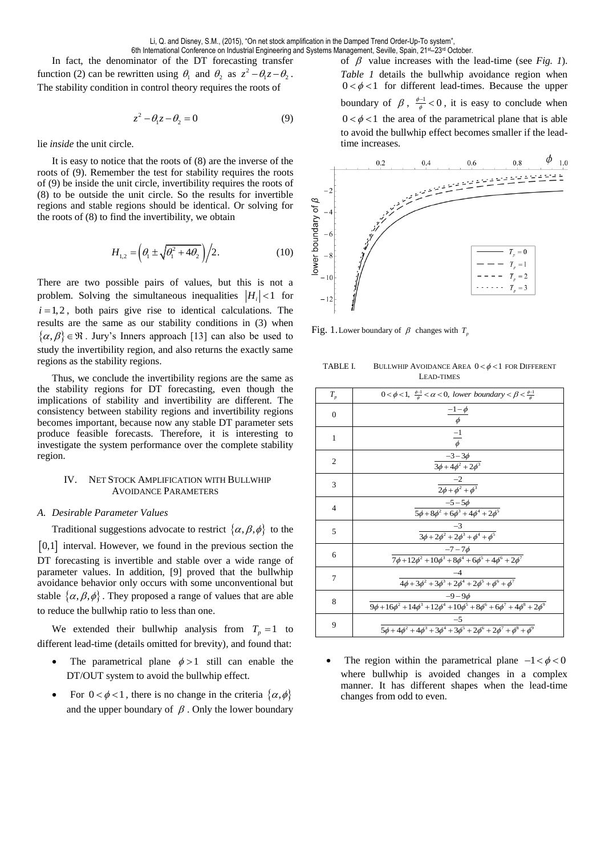In fact, the denominator of the DT forecasting transfer function (2) can be rewritten using  $\theta_1$  and  $\theta_2$  as  $z^2 - \theta_1 z - \theta_2$ . The stability condition in control theory requires the roots of

$$
z^2 - \theta_1 z - \theta_2 = 0 \tag{9}
$$

lie *inside* the unit circle.

It is easy to notice that the roots of (8) are the inverse of the roots of (9). Remember the test for stability requires the roots of (9) be inside the unit circle, invertibility requires the roots of (8) to be outside the unit circle. So the results for invertible regions and stable regions should be identical. Or solving for the roots of (8) to find the invertibility, we obtain

$$
H_{1,2} = \left(\theta_1 \pm \sqrt{\theta_1^2 + 4\theta_2}\right)/2.
$$
 (10)

There are two possible pairs of values, but this is not a problem. Solving the simultaneous inequalities  $|H_i| < 1$  for  $i = 1, 2$ , both pairs give rise to identical calculations. The results are the same as our stability conditions in (3) when  $\{\alpha, \beta\} \in \mathbb{R}$ . Jury's Inners approach [13] can also be used to study the invertibility region, and also returns the exactly same regions as the stability regions.

Thus, we conclude the invertibility regions are the same as the stability regions for DT forecasting, even though the implications of stability and invertibility are different. The consistency between stability regions and invertibility regions becomes important, because now any stable DT parameter sets produce feasible forecasts. Therefore, it is interesting to investigate the system performance over the complete stability region.

# IV. NET STOCK AMPLIFICATION WITH BULLWHIP AVOIDANCE PARAMETERS

# *A. Desirable Parameter Values*

Traditional suggestions advocate to restrict  $\{\alpha, \beta, \phi\}$  to the

[0,1] interval. However, we found in the previous section the DT forecasting is invertible and stable over a wide range of parameter values. In addition, [9] proved that the bullwhip avoidance behavior only occurs with some unconventional but stable  $\{\alpha, \beta, \phi\}$ . They proposed a range of values that are able to reduce the bullwhip ratio to less than one.

We extended their bullwhip analysis from  $T_p = 1$  to different lead-time (details omitted for brevity), and found that:

- The parametrical plane  $\phi > 1$  still can enable the DT/OUT system to avoid the bullwhip effect.
- For  $0 < \phi < 1$ , there is no change in the criteria  $\{\alpha, \phi\}$ and the upper boundary of  $\beta$ . Only the lower boundary

of  $\beta$  value increases with the lead-time (see *Fig. 1*). *Table 1* details the bullwhip avoidance region when  $0 < \phi < 1$  for different lead-times. Because the upper boundary of  $\beta$ ,  $\frac{\phi-1}{\phi} < 0$  $\frac{1}{4}$  < 0, it is easy to conclude when  $0 < \phi < 1$  the area of the parametrical plane that is able to avoid the bullwhip effect becomes smaller if the leadtime increases.



Fig. 1. Lower boundary of  $\beta$  changes with  $T_p$ 

TABLE I. BULLWHIP AVOIDANCE AREA  $0 < \phi < 1$  FOR DIFFERENT LEAD-TIMES

| $T_{\scriptscriptstyle p}$ | $0 < \phi < 1$ , $\frac{\phi-1}{\phi} < \alpha < 0$ , lower boundary $< \beta < \frac{\phi-1}{\phi}$            |
|----------------------------|-----------------------------------------------------------------------------------------------------------------|
| $\mathbf{0}$               | $\frac{-1-\phi}{\phi}$                                                                                          |
| $\mathbf{1}$               | $\frac{-1}{\phi}$                                                                                               |
| $\overline{2}$             | $-3 - 3\phi$<br>$\frac{1}{3\phi+4\phi^2+2\phi^3}$                                                               |
| 3                          | $-2$<br>$\frac{1}{2\phi + \phi^2 + \phi^3}$                                                                     |
| $\overline{4}$             | $-5 - 5\phi$<br>$5\phi + 8\phi^2 + 6\phi^3 + 4\phi^4 + 2\phi^5$                                                 |
| 5                          | $-3$<br>$\frac{1}{3\phi + 2\phi^2 + 2\phi^3 + \phi^4 + \phi^5}$                                                 |
| 6                          | $-7 - 7\phi$<br>$7\phi+12\phi^2+10\phi^3+8\phi^4+6\phi^5+4\phi^6+2\phi^7$                                       |
| 7                          | $4\phi + 3\phi^2 + 3\phi^3 + 2\phi^4 + 2\phi^5 + \phi^6 + \phi^7$                                               |
| 8                          | $-9-9$<br>$\frac{1}{9\phi + 16\phi^2 + 14\phi^3 + 12\phi^4 + 10\phi^5 + 8\phi^6 + 6\phi^7 + 4\phi^8 + 2\phi^9}$ |
| 9                          | $-5$<br>$5\phi + 4\phi^2 + 4\phi^3 + 3\phi^4 + 3\phi^5 + 2\phi^6 + 2\phi^7 + \phi^8 + \phi^9$                   |

• The region within the parametrical plane  $-1 < \phi < 0$ where bullwhip is avoided changes in a complex manner. It has different shapes when the lead-time changes from odd to even.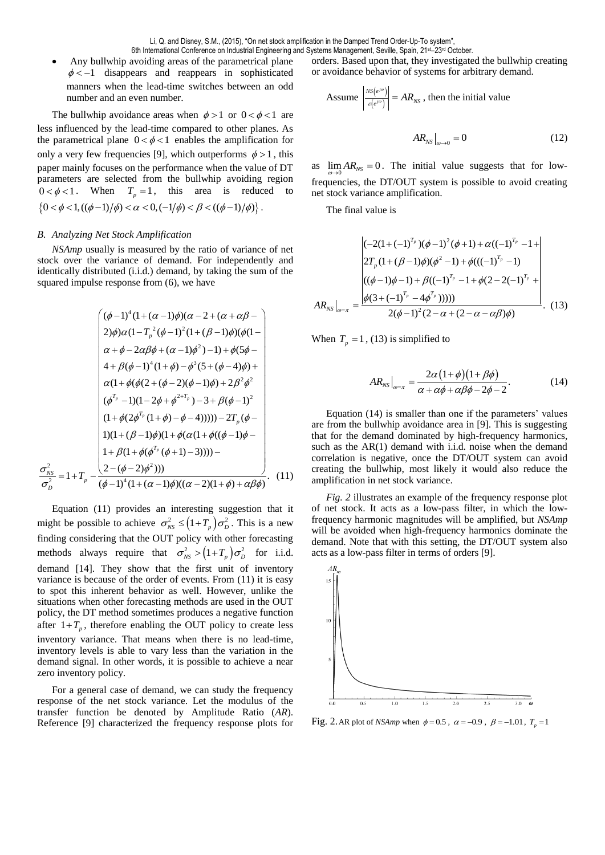Any bullwhip avoiding areas of the parametrical plane  $\phi \lt -1$  disappears and reappears in sophisticated manners when the lead-time switches between an odd number and an even number.

The bullwhip avoidance areas when  $\phi > 1$  or  $0 < \phi < 1$  are less influenced by the lead-time compared to other planes. As the parametrical plane  $0 < \phi < 1$  enables the amplification for only a very few frequencies [9], which outperforms  $\phi > 1$ , this paper mainly focuses on the performance when the value of DT parameters are selected from the bullwhip avoiding region  $0 < \phi < 1$ . When  $T_p = 1$ , this area is reduced to  $\{0 < \phi < 1, ((\phi - 1)/\phi) < \alpha < 0, (-1/\phi) < \beta < ((\phi - 1)/\phi) \}.$ 

## *B. Analyzing Net Stock Amplification*

2 2 *NS*

σ σ

*D*

*NSAmp* usually is measured by the ratio of variance of net stock over the variance of demand. For independently and identically distributed (i.i.d.) demand, by taking the sum of the squared impulse response from (6), we have

$$
\begin{pmatrix}\n(\phi-1)^{4}(1+(\alpha-1)\phi)(\alpha-2+(\alpha+\alpha\beta-\\
2)\phi)\alpha(1-T_{p}^{2}(\phi-1)^{2}(1+(\beta-1)\phi)(\phi(1-\alpha+\beta-2\alpha\beta\phi+(\alpha-1)\phi^{2})-1)+\phi(5\phi-\alpha\\
\alpha+\phi-2\alpha\beta\phi+(\alpha-1)\phi^{3}(5+(\phi-4)\phi)+\\
\alpha(1+\phi(\phi(2+(\phi-2)(\phi-1)\phi)+2\beta^{2}\phi^{2})\\
(\phi^{T_{p}}-1)(1-2\phi+\phi^{2+T_{p}})-3+\beta(\phi-1)^{2}\\
(1+\phi(2\phi^{T_{p}}(1+\phi)-\phi-4)))))-2T_{p}(\phi-\\
1)(1+(\beta-1)\phi)(1+\phi(\alpha(1+\phi((\phi-1)\phi-\\
1+\beta(1+\phi(\phi^{T_{p}}(\phi+1)-3)))))-\\
2-(\phi-2)\phi^{2})))\\
=1+T_{p}-\frac{(2-(\phi-2)\phi^{2})))}{(\phi-1)^{4}(1+(\alpha-1)\phi)((\alpha-2)(1+\phi)+\alpha\beta\phi)}.\n\end{pmatrix}.\n\tag{11}
$$

Equation (11) provides an interesting suggestion that it might be possible to achieve  $\sigma_{NS}^2 \leq (1+T_p)\sigma_D^2$ . This is a new finding considering that the OUT policy with other forecasting methods always require that  $\sigma_{NS}^2 > (1 + T_p) \sigma_D^2$  for i.i.d. demand [14]. They show that the first unit of inventory variance is because of the order of events. From (11) it is easy to spot this inherent behavior as well. However, unlike the situations when other forecasting methods are used in the OUT policy, the DT method sometimes produces a negative function after  $1+T_p$ , therefore enabling the OUT policy to create less inventory variance. That means when there is no lead-time, inventory levels is able to vary less than the variation in the demand signal. In other words, it is possible to achieve a near zero inventory policy.

For a general case of demand, we can study the frequency response of the net stock variance. Let the modulus of the transfer function be denoted by Amplitude Ratio (*AR*). Reference [9] characterized the frequency response plots for orders. Based upon that, they investigated the bullwhip creating or avoidance behavior of systems for arbitrary demand.

Assume 
$$
\left| \frac{_{NS(e^{j\omega})}}{_{\varepsilon(e^{j\omega})}} \right| = AR_{NS}
$$
, then the initial value  

$$
AR_{NS}\Big|_{\omega \to 0} = 0
$$
 (12)

as  $\lim_{\omega \to 0} AR_{NS} = 0$ . The initial value suggests that for lowfrequencies, the DT/OUT system is possible to avoid creating net stock variance amplification.

The final value is

$$
AR_{NS}|_{\omega=\pi} = \frac{\begin{vmatrix} (-2(1+(-1)^{T_p})(\phi-1)^2(\phi+1)+\alpha((-1)^{T_p}-1+\\2T_p(1+(\beta-1)\phi)(\phi^2-1)+\phi(((-1)^{T_p}-1)\\((\phi-1)\phi-1)+\beta((-1)^{T_p}-1+\phi(2-2(-1)^{T_p}+\\ \phi(3+(-1)^{T_p}-4\phi^{T_p}))))\end{vmatrix}}{2(\phi-1)^2(2-\alpha+(2-\alpha-\alpha\beta)\phi)}.
$$
(13)

When  $T_p = 1$ , (13) is simplified to

$$
AR_{NS}\Big|_{\omega=\pi} = \frac{2\alpha(1+\phi)(1+\beta\phi)}{\alpha+\alpha\phi+\alpha\beta\phi-2\phi-2}.
$$
 (14)

Equation (14) is smaller than one if the parameters' values are from the bullwhip avoidance area in [9]. This is suggesting that for the demand dominated by high-frequency harmonics, such as the AR(1) demand with i.i.d. noise when the demand correlation is negative, once the DT/OUT system can avoid creating the bullwhip, most likely it would also reduce the amplification in net stock variance.

*Fig. 2* illustrates an example of the frequency response plot of net stock. It acts as a low-pass filter, in which the lowfrequency harmonic magnitudes will be amplified, but *NSAmp* will be avoided when high-frequency harmonics dominate the demand. Note that with this setting, the DT/OUT system also acts as a low-pass filter in terms of orders [9].



Fig. 2. AR plot of *NSAmp* when  $\phi = 0.5$ ,  $\alpha = -0.9$ ,  $\beta = -1.01$ ,  $T_p = 1$ .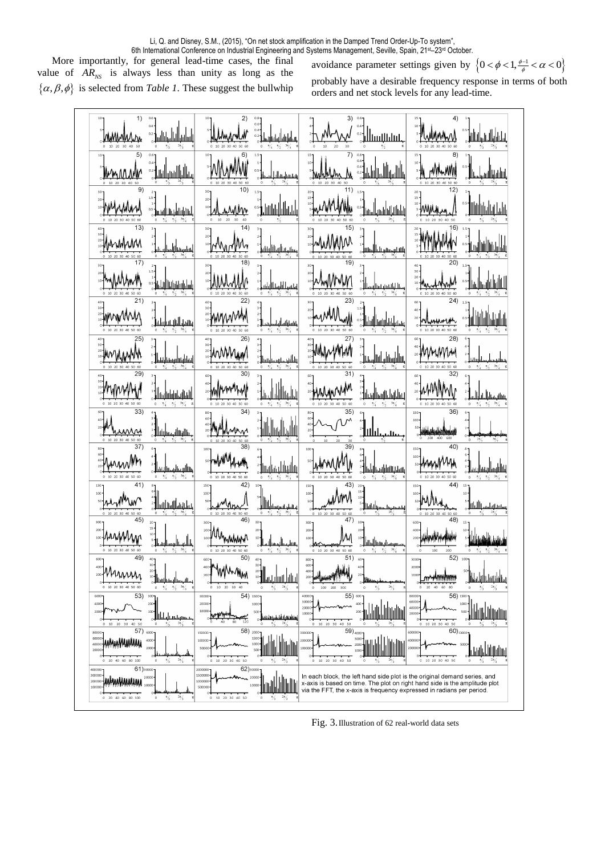6th International Conference on Industrial Engineering and Systems Management, Seville, Spain, 21st–23rd October.

More importantly, for general lead-time cases, the final value of  $AR_{NS}$  is always less than unity as long as the  $\{\alpha, \beta, \phi\}$  is selected from *Table 1*. These suggest the bullwhip

avoidance parameter settings given by  $\left\{0 < \phi < 1, \frac{\phi - 1}{\phi} < \alpha < 0\right\}$ 

probably have a desirable frequency response in terms of both orders and net stock levels for any lead-time.

| 1)<br>0.4<br>$\hat{A}$ اساساساساسا<br>0.2<br>htmunta                                                                                                             | 2)<br><u>Munruli</u>                                                                         | $0.6*$<br>$0.4 -$<br>ىساسلىسلىلىسل <b>ا</b> ئ                                         | 3)                                                                          | 0.4<br>$0.2 -$<br>alluullulul.                                                | $\frac{15}{3}$ MMMMM                                                                                                                                                                                                             | سلسلسلسلساني                                     |
|------------------------------------------------------------------------------------------------------------------------------------------------------------------|----------------------------------------------------------------------------------------------|---------------------------------------------------------------------------------------|-----------------------------------------------------------------------------|-------------------------------------------------------------------------------|----------------------------------------------------------------------------------------------------------------------------------------------------------------------------------------------------------------------------------|--------------------------------------------------|
| 5)<br>$0.6 -$<br>0.4<br> ակակ  Ապ<br><u>Winnw</u><br>$0.2 -$                                                                                                     | : MAMM                                                                                       | 1.5 <sub>7</sub><br>$0.5 -$<br>سىسلىسلىك                                              | 7)<br>15 <sub>7</sub><br>$10 -$<br>, Ma                                     | باللبياليال<br>$0.4 -$<br>$0.2 -$                                             | 8)<br>15 <sub>1</sub><br>$10 -$<br>้∥้<br>mMnMM                                                                                                                                                                                  | $0.5 -$<br>اللاسلىللاسىلىسلل                     |
| 91<br>$1.5 -$<br><u>"Myselent</u><br><sup>0,5</sup> hutullatalain lä                                                                                             | 10)<br>$20 -$<br><u>wwWw</u><br>$10 -$                                                       | باناتالاتان                                                                           | 11)<br>$\frac{20}{15}$<br>mMMW                                              | إشارا الباساسياليسا                                                           | 12)<br>$20 -$<br>$15\,$<br>10 <sup>1</sup><br><b>MMMmm</b>                                                                                                                                                                       | <u>Muhatata</u>                                  |
| 13)<br>Munhun<br>$20 -$<br>إساسيساللساه<br>17)                                                                                                                   | 14<br>$20 -$<br>MyM<br>10 <sup>1</sup><br>18'                                                | <br> سىللىملىلللللىللللىلىلىلىلى                                                      | $30 -$<br>$20 -$<br>funnn<br>19)                                            | بالسلسيستيم المسللة                                                           | 6<br>AMMAN<br>20)                                                                                                                                                                                                                | <u>اسالسا اسا</u>                                |
| ╷°<br>╶╹┛<br>╶╹┛╫╟╟╟╟╟╟╫╟╟╓<br><b>SHyWMmM</b>                                                                                                                    | 30.<br>inMwM                                                                                 | استسيلا استالا                                                                        | $30 -$<br>$20 -$<br>MwMw<br>23                                              | سىللىسىسساسىلل                                                                | 30<br>20 <sub>1</sub><br>(24)                                                                                                                                                                                                    | M<br>lh.                                         |
| 21)<br>Shinnynn<br>اسليل<br>بسباباليسا                                                                                                                           | 22<br><b>AMMWWW</b>                                                                          | $\frac{\frac{1}{2} \frac{1}{\sqrt{\frac{3\pi}{4}}}}{\frac{1}{\sqrt{\frac{3\pi}{4}}}}$ | 20 <sup>1</sup><br>what when                                                | ستسلسلالسله                                                                   | 40<br>20                                                                                                                                                                                                                         |                                                  |
| $30 -$<br>EMYMMM<br>1<br>السابانيا<br>مسابانيا<br>29                                                                                                             | 26<br><b>Elwwww.</b><br>30                                                                   | رىسللىسىسى<br>كەنجىسىسى                                                               | $\frac{40}{30}$<br><b>EMMMMM</b><br>31                                      | سللسلسلسلس                                                                    | 28)<br>40<br>MMMM<br>32)                                                                                                                                                                                                         | ستللبسنا                                         |
| Ammy<br><u> hdalata dhadh</u><br>10 20 30 40 50 60<br>$\circ$                                                                                                    | ∷ํ <b>๛๛๚๛</b><br>10 20 30 40 50 60                                                          | ا <sub>لىلىل</sub>                                                                    | 60-<br>$40 -$<br><b>EMMANWH</b><br>0 10 20 30 40 50                         | յ<br>- <b>Լուհինափետակ</b>                                                    | funnhn                                                                                                                                                                                                                           | اسا <mark>لیاسال</mark> لسیالس<br>منابع          |
| 33)<br>as Musical<br>ىسلاسلىللىر<br>ئاتىرىنىڭ ئەسىللىر                                                                                                           | 34<br>60<br>lmnn                                                                             | الالبىللى                                                                             | 35<br>$80 -$<br>60<br>40                                                    | Шш<br>Jц.                                                                     | 36)<br>100                                                                                                                                                                                                                       |                                                  |
| 37<br>$60 -$<br>ffunning<br>40 <sub>1</sub><br>واللاسلامية<br>* * * * * * * *                                                                                    | 38<br>100<br>mMMM                                                                            | aa <mark>aldaalaa</mark>                                                              | 39)<br>$100 -$<br> MMMMW                                                    | بسلبانانللا                                                                   | 40)<br>100<br>HumMy                                                                                                                                                                                                              |                                                  |
| 41)<br>150<br>$\begin{bmatrix} 8 \\ 6 \\ 4 \\ 2 \end{bmatrix}$<br>$100 -$<br>nyMun<br>بسلبانسا بالبسيانياست                                                      | 42<br>150<br>100 <sub>1</sub><br>50<br>My<br>10 20 30 40 50 60                               |                                                                                       | 43<br>150<br>$100 -$<br>iNmN<br>50                                          | 20 <sub>1</sub><br>$15 -$<br>$10 -$<br>ة السنيس السياسية<br>* السنيس السياسية | 44)<br>150 <sub>1</sub><br>$100 -$<br><b>SO-MMA</b>                                                                                                                                                                              | $15 -$<br>$10 -$<br>سسسسس السلالة<br>مصدر المسيح |
| 45)<br>300<br>$15 -$<br>$200 -$<br>AMAMA<br>سىللىسى                                                                                                              | 30C<br>Mmmmmn<br>20C<br>100                                                                  | $20 -$<br>$10 -$<br>بسيليبياليميا                                                     | 47)<br>300<br>200<br>100                                                    | 10 <sup>1</sup><br>سىسسىلىسىللىنىلل°                                          | 48)<br>400                                                                                                                                                                                                                       | ش تقدف تشتقشا فللما                              |
| 49<br>$30 -$<br>400 <sub>1</sub><br>20<br>200<br>بمالليمسا المساللتانا<br>0 10 20 30 40 50 60<br>$\frac{\pi}{4}$<br>$\frac{\pi}{2}$ $\frac{3\pi}{4}$<br>$\circ$  | 50<br>40<br>201<br>$10$ $20$ $30$ $40$<br>$\,0\,$                                            | 30<br>20<br>10<br>$2\pi/3$<br>℁<br>$\Omega$                                           | 51)<br>600<br>400<br>200<br>100 200 300<br>$\circ$                          | 40<br>$\frac{2\pi}{3}$<br>$\circ$<br>⅗<br>$\pi$                               | 2000<br>1000<br>$\,$ 0 $\,$<br>20 40 60 80                                                                                                                                                                                       | $2\pi/3$<br>$\frac{\pi}{3}$<br>$\bf{0}$          |
| 53)<br>6000<br>$300 -$<br>400<br>200<br>2000<br>100<br>عصستهما بتليله<br>10 20 30 40 50<br>$\mathbf 0$<br>$\mathbf 0$                                            | 54) 1500-<br>30000<br>20000<br>1000<br>10000<br>120<br>40<br>80                              | 500<br>مناطقا بانشا<br>$2\pi$                                                         | 55) 600 7<br>40000<br>30000<br>20000<br>10000<br>10 20 30 40 50<br>$\bf 0$  | 400<br>200                                                                    | $56$ ) $1500 -$<br>80000<br>60000<br>40000<br>2000<br>$0$ 10 20 30 40 50                                                                                                                                                         | 1000<br>500                                      |
| 57) 6000<br>80000<br>60000<br>4000<br>4000<br>2000<br>20001<br>$\frac{2\pi}{3}$<br>20 40 60 80 100<br>$\circ$<br>⅍<br>$\circ$                                    | 58)<br>150000<br>2000<br>1500<br>100000<br>1000<br>50000<br>500<br>$0$ 10 20 30 40 50        | $\frac{2\pi}{3}$<br>%<br>0                                                            | $59)_{4000}$<br>300000<br>200000<br>100000<br>10 20 30 40 50<br>$\mathbf 0$ | 3000<br>$\circ$<br>₩<br>⅍                                                     | $60)_{10000}$<br>600000<br>40000<br>10 20 30 40 50<br>$^{\circ}$                                                                                                                                                                 | $\circ$<br>⅍                                     |
| $61)$ 30000-<br>400000<br>300000<br>20000<br>200000<br>10000<br>100000<br>$2\pi/3$<br>$0\quad 20\quad 40\quad 60\quad 80\quad 100$<br>$\,0\,$<br>$\frac{\pi}{3}$ | 62)30000-<br>2000000<br>1500000<br>20000<br>1000000<br>10000<br>500000<br>$0$ 10 20 30 40 50 | $2\pi/3$<br>$\mathbf 0$<br>%                                                          |                                                                             |                                                                               | In each block, the left hand side plot is the original demand series, and<br>x-axis is based on time. The plot on right hand side is the amplitude plot<br>via the FFT, the x-axis is frequency expressed in radians per period. |                                                  |

Fig. 3.Illustration of 62 real-world data sets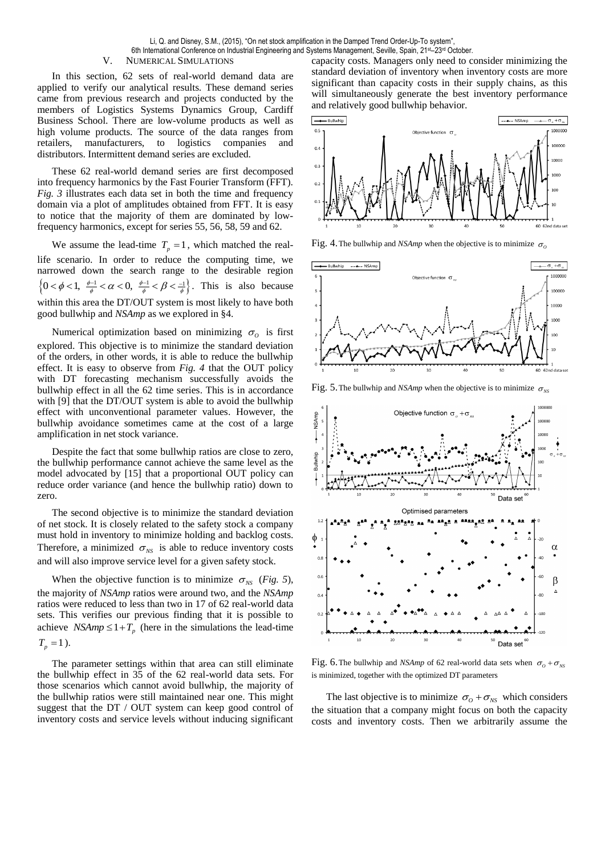Li, Q. and Disney, S.M., (2015), "On net stock amplification in the Damped Trend Order-Up-To system", 6th International Conference on Industrial Engineering and Systems Management, Seville, Spain, 21st–23rd October.

## V. NUMERICAL SIMULATIONS

In this section, 62 sets of real-world demand data are applied to verify our analytical results. These demand series came from previous research and projects conducted by the members of Logistics Systems Dynamics Group, Cardiff Business School. There are low-volume products as well as high volume products. The source of the data ranges from retailers, manufacturers, to logistics companies and distributors. Intermittent demand series are excluded.

These 62 real-world demand series are first decomposed into frequency harmonics by the Fast Fourier Transform (FFT). *Fig. 3* illustrates each data set in both the time and frequency domain via a plot of amplitudes obtained from FFT. It is easy to notice that the majority of them are dominated by lowfrequency harmonics, except for series 55, 56, 58, 59 and 62.

We assume the lead-time  $T_p = 1$ , which matched the reallife scenario. In order to reduce the computing time, we narrowed down the search range to the desirable region Harrowed down the search range to the desirable region<br> $\left\{0 < \phi < 1, \frac{\phi-1}{\phi} < \alpha < 0, \frac{\phi-1}{\phi} < \beta < \frac{-1}{\phi}\right\}$ . This is also because within this area the DT/OUT system is most likely to have both good bullwhip and *NSAmp* as we explored in §4.

Numerical optimization based on minimizing  $\sigma$ <sub>o</sub> is first explored. This objective is to minimize the standard deviation of the orders, in other words, it is able to reduce the bullwhip effect. It is easy to observe from *Fig. 4* that the OUT policy with DT forecasting mechanism successfully avoids the bullwhip effect in all the 62 time series. This is in accordance with [9] that the DT/OUT system is able to avoid the bullwhip effect with unconventional parameter values. However, the bullwhip avoidance sometimes came at the cost of a large amplification in net stock variance.

Despite the fact that some bullwhip ratios are close to zero, the bullwhip performance cannot achieve the same level as the model advocated by [15] that a proportional OUT policy can reduce order variance (and hence the bullwhip ratio) down to zero.

The second objective is to minimize the standard deviation of net stock. It is closely related to the safety stock a company must hold in inventory to minimize holding and backlog costs. Therefore, a minimized  $\sigma_{NS}$  is able to reduce inventory costs and will also improve service level for a given safety stock.

When the objective function is to minimize  $\sigma_{NS}$  (*Fig. 5*), the majority of *NSAmp* ratios were around two, and the *NSAmp* ratios were reduced to less than two in 17 of 62 real-world data sets. This verifies our previous finding that it is possible to achieve *NSAmp*  $\leq 1 + T_p$  (here in the simulations the lead-time  $T_p = 1$ .

The parameter settings within that area can still eliminate the bullwhip effect in 35 of the 62 real-world data sets. For those scenarios which cannot avoid bullwhip, the majority of the bullwhip ratios were still maintained near one. This might suggest that the DT / OUT system can keep good control of inventory costs and service levels without inducing significant

capacity costs. Managers only need to consider minimizing the standard deviation of inventory when inventory costs are more significant than capacity costs in their supply chains, as this will simultaneously generate the best inventory performance and relatively good bullwhip behavior.



Fig. 4. The bullwhip and *NSAmp* when the objective is to minimize  $\sigma_o$ 



Fig. 5. The bullwhip and *NSAmp* when the objective is to minimize  $\sigma_{NS}$ 



Fig. 6. The bullwhip and *NSAmp* of 62 real-world data sets when  $\sigma_{0} + \sigma_{NS}$ is minimized, together with the optimized DT parameters

The last objective is to minimize  $\sigma_{0} + \sigma_{NS}$  which considers the situation that a company might focus on both the capacity costs and inventory costs. Then we arbitrarily assume the